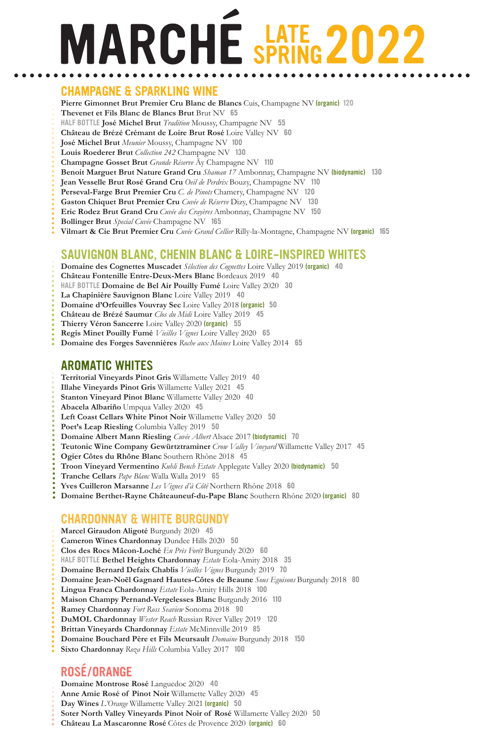# **MARCHE SPRING 2022**

### CHAMPAGNE & SPARKLING WINE

**Pierre Gimonnet Brut Premier Cru Blanc de Blancs** Cuis, Champagne NV (organic) 120

**Thevenet et Fils Blanc de Blancs Brut** Brut NV 65

HALF BOTTLE **José Michel Brut** *Tradition* Moussy, Champagne NV55

**Château de Brézé Crémant de Loire Brut Rosé** Loire Valley NV 60

**José Michel Brut** *Meunier* Moussy, Champagne NV100

**Louis Roederer Brut** *Collection 242* Champagne NV 130

**Champagne Gosset Brut** *Grande Réserve* Äy Champagne NV 110

- **Benoit Marguet Brut Nature Grand Cru** *Shaman 17* Ambonnay, Champagne NV (biodynamic)130
- **Jean Vesselle Brut Rosé Grand Cru** *Oeil de Perdrix* Bouzy, Champagne NV 110
- **Perseval-Farge Brut Premier Cru** *C. de Pinots* Chamery, Champagne NV 120

**Gaston Chiquet Brut Premier Cru** *Cuvée de Réserve* Dizy, Champagne NV130

**Eric Rodez Brut Grand Cru** *Cuvée des Crayères* Ambonnay, Champagne NV 150

- **Bollinger Brut** *Special Cuvée* Champagne NV 165
- **Vilmart & Cie Brut Premier Cru** *Cuvée Grand Cellier* Rilly-la-Montagne, Champagne NV (organic) 165

## SAUVIGNON BLANC, CHENIN BLANC & LOIRE-INSPIRED WHITES

**Domaine des Cognettes Muscadet** *Sélection des Cognettes* Loire Valley 2019 (organic) 40

**Château Fontenille Entre-Deux-Mers Blanc** Bordeaux 201940

- HALF BOTTLE **Domaine de Bel Air Pouilly Fumé** Loire Valley 202030
- **La Chapinière Sauvignon Blanc** Loire Valley 201940
- **Domaine d'Orfeuilles Vouvray Sec** Loire Valley 2018 (organic) 50
- **Château de Brézé Saumur** *Clos du Midi* Loire Valley 2019 45
- **Thierry Véron Sancerre** Loire Valley 2020 (organic)55
- **Regis Minet Pouilly Fumé** *Vieilles Vignes* Loire Valley 202065
- **Domaine des Forges Savennières** *Roche aux Moines* Loire Valley 201465

# AROMATIC WHITES

- **Territorial Vineyards Pinot Gris** Willamette Valley 2019 40 **Illahe Vineyards Pinot Gris** Willamette Valley 2021 45 **Stanton Vineyard Pinot Blanc** Willamette Valley 2020 40 **Abacela Albariño** Umpqua Valley 2020 45
- **Left Coast Cellars White Pinot Noir** Willamette Valley 202050
- **Poet's Leap Riesling** Columbia Valley 201950
- **Domaine Albert Mann Riesling** *Cuvée Albert* Alsace 2017 (biodynamic) 70
- **Teutonic Wine Company Gewürtztraminer** *Crow Valley Vineyard* Willamette Valley 2017 45
- **Ogier Côtes du Rhône Blanc** Southern Rhône 2018 45
- **Troon Vineyard Vermentino** *Kuhli Bench Estate* Applegate Valley 2020 (biodynamic) 50
- **Tranche Cellars** *Pape Blanc* Walla Walla 201965
- **Yves Cuilleron Marsanne** *Les Vignes d'à Côté* Northern Rhône 2018 60
- **Domaine Berthet-Rayne Châteauneuf-du-Pape Blanc** Southern Rhône 2020 (organic) 80

### CHARDONNAY & WHITE BURGUNDY

**Marcel Giraudon Aligoté** Burgundy 202045 **Cameron Wines Chardonnay** Dundee Hills 202050 **Clos des Rocs Mâcon-Loché** *En Près Forêt* Burgundy 202060 HALF BOTTLE **Bethel Heights Chardonnay** *Estate* Eola-Amity 201835 **Domaine Bernard Defaix Chablis** *Vieilles Vignes* Burgundy 2019 70 **Domaine Jean-Noël Gagnard Hautes-Côtes de Beaune** *Sous Eguisons* Burgundy 2018 80 **Lingua Franca Chardonnay** *Estate* Eola-Amity Hills 2018 100 **Maison Champy Pernand-Vergelesses Blanc** Burgundy 2016 110 **Ramey Chardonnay** *Fort Ross Seaview* Sonoma 201890 **DuMOL Chardonnay** *Wester Reach* Russian River Valley 2019120 **Brittan Vineyards Chardonnay** *Estate* McMinnville 2019 85 **Domaine Bouchard Père et Fils Meursault** *Domaine* Burgundy 2018150 **Sixto Chardonnay** *Roza Hills* Columbia Valley 2017 100

# ROSÉ/ORANGE

**Domaine Montrose Rosé** Languedoc 202040 **Anne Amie Rosé of Pinot Noir** Willamette Valley 2020 45 **Day Wines** *L'Orange* Willamette Valley 2021 (organic) 50 **Soter North Valley Vineyards Pinot Noir of Rosé** Willamette Valley 2020 50 **Château La Mascaronne Rosé** Côtes de Provence 2020 (organic) 60